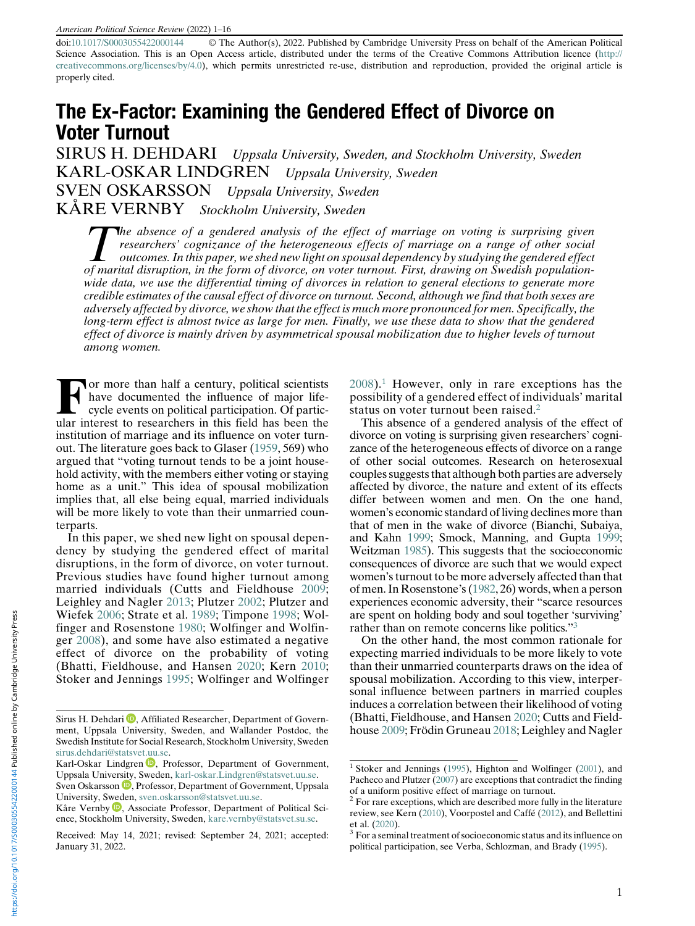doi:[10.1017/S0003055422000144](https://doi.org/10.1017/S0003055422000144) © The Author(s), 2022. Published by Cambridge University Press on behalf of the American Political Science Association. This is an Open Access article, distributed under the terms of the Creative Commons Attribution licence ([http://](http://creativecommons.org/licenses/by/4.0) [creativecommons.org/licenses/by/4.0\)](http://creativecommons.org/licenses/by/4.0), which permits unrestricted re-use, distribution and reproduction, provided the original article is properly cited.

# The Ex-Factor: Examining the Gendered Effect of Divorce on Voter Turnout

SIRUS H. DEHDARI Uppsala University, Sweden, and Stockholm University, Sweden KARL-OSKAR LINDGREN Uppsala University, Sweden SVEN OSKARSSON Uppsala University, Sweden KÅRE VERNBY Stockholm University, Sweden

The absence of a gendered analysis of the effect of marriage on voting is surprising given<br>researchers' cognizance of the heterogeneous effects of marriage on a range of other social<br>outcomes. In this paper, we shed new li researchers' cognizance of the heterogeneous effects of marriage on a range of other social outcomes. In this paper, we shed new light on spousal dependency by studying the gendered effect of marital disruption, in the form of divorce, on voter turnout. First, drawing on Swedish populationwide data, we use the differential timing of divorces in relation to general elections to generate more credible estimates of the causal effect of divorce on turnout. Second, although we find that both sexes are adversely affected by divorce, we show that the effect is much more pronounced for men. Specifically, the long-term effect is almost twice as large for men. Finally, we use these data to show that the gendered effect of divorce is mainly driven by asymmetrical spousal mobilization due to higher levels of turnout among women.

For more than half a century, political scientists<br>have documented the influence of major life-<br>cycle events on political participation. Of partic-<br>ular interest to recepted in this field has been the have documented the influence of major lifecycle events on political participation. Of particular interest to researchers in this field has been the institution of marriage and its influence on voter turnout. The literature goes back to Glaser [\(1959](#page-14-0), 569) who argued that "voting turnout tends to be a joint household activity, with the members either voting or staying home as a unit." This idea of spousal mobilization implies that, all else being equal, married individuals will be more likely to vote than their unmarried counterparts.

In this paper, we shed new light on spousal dependency by studying the gendered effect of marital disruptions, in the form of divorce, on voter turnout. Previous studies have found higher turnout among married individuals (Cutts and Fieldhouse [2009](#page-14-1); Leighley and Nagler [2013](#page-15-0); Plutzer [2002](#page-15-1); Plutzer and Wiefek [2006;](#page-15-2) Strate et al. [1989](#page-15-3); Timpone [1998;](#page-15-4) Wolfinger and Rosenstone [1980](#page-15-5); Wolfinger and Wolfinger [2008](#page-15-6)), and some have also estimated a negative effect of divorce on the probability of voting (Bhatti, Fieldhouse, and Hansen [2020](#page-14-2); Kern [2010](#page-15-7); Stoker and Jennings [1995;](#page-15-8) Wolfinger and Wolfinger

[2008\)](#page-15-6).[1](#page-0-0) However, only in rare exceptions has the possibility of a gendered effect of individuals' marital status on voter turnout been raised.<sup>[2](#page-0-1)</sup>

This absence of a gendered analysis of the effect of divorce on voting is surprising given researchers' cognizance of the heterogeneous effects of divorce on a range of other social outcomes. Research on heterosexual couples suggests that although both parties are adversely affected by divorce, the nature and extent of its effects differ between women and men. On the one hand, women's economic standard of living declines more than that of men in the wake of divorce (Bianchi, Subaiya, and Kahn [1999;](#page-14-3) Smock, Manning, and Gupta [1999;](#page-15-7) Weitzman [1985\)](#page-15-9). This suggests that the socioeconomic consequences of divorce are such that we would expect women's turnout to be more adversely affected than that of men. In Rosenstone's ([1982](#page-15-10), 26) words, when a person experiences economic adversity, their "scarce resources are spent on holding body and soul together 'surviving' rather than on remote concerns like politics."[3](#page-0-2)

On the other hand, the most common rationale for expecting married individuals to be more likely to vote than their unmarried counterparts draws on the idea of spousal mobilization. According to this view, interpersonal influence between partners in married couples induces a correlation between their likelihood of voting (Bhatti, Fieldhouse, and Hansen [2020](#page-14-2); Cutts and Fieldhouse [2009;](#page-14-1) Frödin Gruneau [2018](#page-14-4); Leighley and Nagler

Sirus H. Dehdari  $\mathbf{D}$ , Affiliated Researcher, Department of Government, Uppsala University, Sweden, and Wallander Postdoc, the Swedish Institute for Social Research, Stockholm University, Sweden [sirus.dehdari@statsvet.uu.se.](mailto:sirus.dehdari@statsvet.uu.se)

<span id="page-0-0"></span>Karl-Oskar Lindgren D, Professor, Department of Government, Uppsala Univer[sity](https://orcid.org/0000-0001-8698-2866), Sweden, [karl-oskar.Lindgren@statsvet.uu.se](mailto:karl-oskar.Lindgren@statsvet.uu.se).

Sven Oskarsson D, Professor, Department of Government, Uppsala University, S[wed](https://orcid.org/0000-0003-3899-4381)en, [sven.oskarsson@statsvet.uu.se](mailto:sven.oskarsson@statsvet.uu.se).

<span id="page-0-1"></span>Kåre Vernby  $\blacksquare$ , Associate Professor, Department of Political Science, Stockholm University, Sweden, [kare.vernby@statsvet.su.se.](mailto:kare.vernby@statsvet.su.se)

<span id="page-0-2"></span>Received: May 14, 2021; revised: September 24, 2021; accepted: January 31, 2022.

 $1$  Stoker and Jennings [\(1995](#page-15-8)), Highton and Wolfinger [\(2001\)](#page-14-5), and Pacheco and Plutzer ([2007\)](#page-15-11) are exceptions that contradict the finding of a uniform positive effect of marriage on turnout.

 $2$  For rare exceptions, which are described more fully in the literature review, see Kern [\(2010\)](#page-15-7), Voorpostel and Caffé ([2012\)](#page-15-12), and Bellettini et al. ([2020\)](#page-14-6).  $3$  For a seminal treatment of socioeconomic status and its influence on

political participation, see Verba, Schlozman, and Brady [\(1995](#page-15-13)).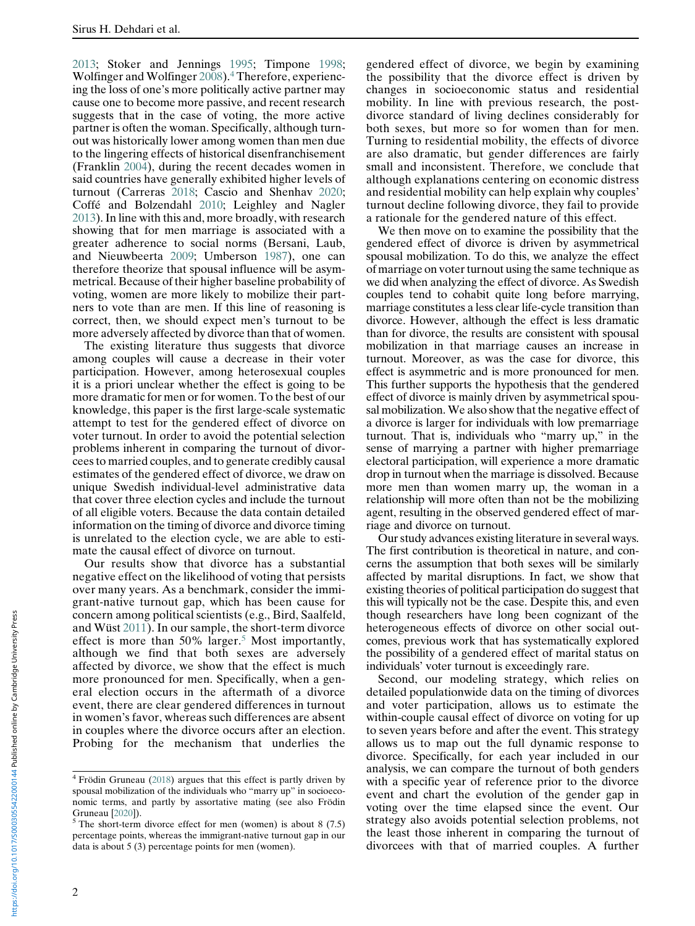[2013;](#page-15-0) Stoker and Jennings [1995](#page-15-8); Timpone [1998;](#page-15-4) Wolfinger and Wolfinger [2008](#page-15-6)).[4](#page-1-0) Therefore, experiencing the loss of one's more politically active partner may cause one to become more passive, and recent research suggests that in the case of voting, the more active partner is often the woman. Specifically, although turnout was historically lower among women than men due to the lingering effects of historical disenfranchisement (Franklin [2004\)](#page-14-7), during the recent decades women in said countries have generally exhibited higher levels of turnout (Carreras [2018;](#page-14-8) Cascio and Shenhav [2020;](#page-14-9) Coffé and Bolzendahl [2010](#page-14-10); Leighley and Nagler [2013\)](#page-15-0). In line with this and, more broadly, with research showing that for men marriage is associated with a greater adherence to social norms (Bersani, Laub, and Nieuwbeerta [2009;](#page-14-11) Umberson [1987\)](#page-15-14), one can therefore theorize that spousal influence will be asymmetrical. Because of their higher baseline probability of voting, women are more likely to mobilize their partners to vote than are men. If this line of reasoning is correct, then, we should expect men's turnout to be more adversely affected by divorce than that of women.

The existing literature thus suggests that divorce among couples will cause a decrease in their voter participation. However, among heterosexual couples it is a priori unclear whether the effect is going to be more dramatic for men or for women. To the best of our knowledge, this paper is the first large-scale systematic attempt to test for the gendered effect of divorce on voter turnout. In order to avoid the potential selection problems inherent in comparing the turnout of divorcees to married couples, and to generate credibly causal estimates of the gendered effect of divorce, we draw on unique Swedish individual-level administrative data that cover three election cycles and include the turnout of all eligible voters. Because the data contain detailed information on the timing of divorce and divorce timing is unrelated to the election cycle, we are able to estimate the causal effect of divorce on turnout.

Our results show that divorce has a substantial negative effect on the likelihood of voting that persists over many years. As a benchmark, consider the immigrant-native turnout gap, which has been cause for concern among political scientists (e.g., Bird, Saalfeld, and Wüst [2011\)](#page-14-12). In our sample, the short-term divorce effect is more than [5](#page-1-1)0% larger.<sup>5</sup> Most importantly, although we find that both sexes are adversely affected by divorce, we show that the effect is much more pronounced for men. Specifically, when a general election occurs in the aftermath of a divorce event, there are clear gendered differences in turnout in women's favor, whereas such differences are absent in couples where the divorce occurs after an election. Probing for the mechanism that underlies the

gendered effect of divorce, we begin by examining the possibility that the divorce effect is driven by changes in socioeconomic status and residential mobility. In line with previous research, the postdivorce standard of living declines considerably for both sexes, but more so for women than for men. Turning to residential mobility, the effects of divorce are also dramatic, but gender differences are fairly small and inconsistent. Therefore, we conclude that although explanations centering on economic distress and residential mobility can help explain why couples' turnout decline following divorce, they fail to provide a rationale for the gendered nature of this effect.

We then move on to examine the possibility that the gendered effect of divorce is driven by asymmetrical spousal mobilization. To do this, we analyze the effect of marriage on voter turnout using the same technique as we did when analyzing the effect of divorce. As Swedish couples tend to cohabit quite long before marrying, marriage constitutes a less clear life-cycle transition than divorce. However, although the effect is less dramatic than for divorce, the results are consistent with spousal mobilization in that marriage causes an increase in turnout. Moreover, as was the case for divorce, this effect is asymmetric and is more pronounced for men. This further supports the hypothesis that the gendered effect of divorce is mainly driven by asymmetrical spousal mobilization. We also show that the negative effect of a divorce is larger for individuals with low premarriage turnout. That is, individuals who "marry up," in the sense of marrying a partner with higher premarriage electoral participation, will experience a more dramatic drop in turnout when the marriage is dissolved. Because more men than women marry up, the woman in a relationship will more often than not be the mobilizing agent, resulting in the observed gendered effect of marriage and divorce on turnout.

Our study advances existing literature in several ways. The first contribution is theoretical in nature, and concerns the assumption that both sexes will be similarly affected by marital disruptions. In fact, we show that existing theories of political participation do suggest that this will typically not be the case. Despite this, and even though researchers have long been cognizant of the heterogeneous effects of divorce on other social outcomes, previous work that has systematically explored the possibility of a gendered effect of marital status on individuals' voter turnout is exceedingly rare.

Second, our modeling strategy, which relies on detailed populationwide data on the timing of divorces and voter participation, allows us to estimate the within-couple causal effect of divorce on voting for up to seven years before and after the event. This strategy allows us to map out the full dynamic response to divorce. Specifically, for each year included in our analysis, we can compare the turnout of both genders with a specific year of reference prior to the divorce event and chart the evolution of the gender gap in voting over the time elapsed since the event. Our strategy also avoids potential selection problems, not the least those inherent in comparing the turnout of divorcees with that of married couples. A further

<span id="page-1-0"></span><sup>4</sup> Frödin Gruneau [\(2018\)](#page-14-4) argues that this effect is partly driven by spousal mobilization of the individuals who "marry up" in socioeconomic terms, and partly by assortative mating (see also Frödin

<span id="page-1-1"></span>Gruneau [[2020](#page-14-13)]).  $5$  The short-term divorce effect for men (women) is about 8 (7.5) percentage points, whereas the immigrant-native turnout gap in our data is about 5 (3) percentage points for men (women).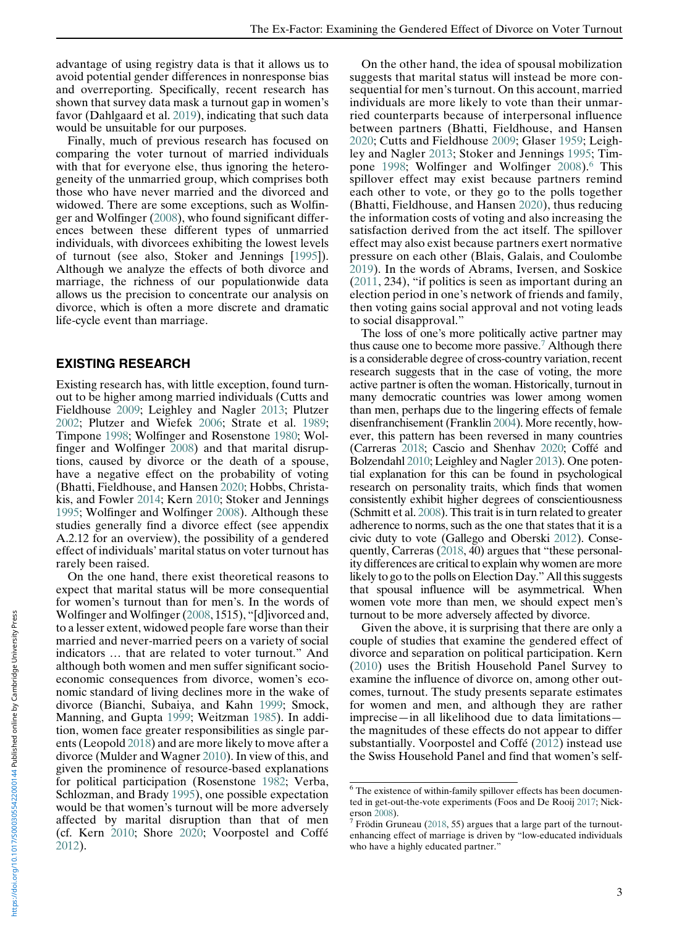advantage of using registry data is that it allows us to avoid potential gender differences in nonresponse bias and overreporting. Specifically, recent research has shown that survey data mask a turnout gap in women's favor (Dahlgaard et al. [2019\)](#page-14-14), indicating that such data would be unsuitable for our purposes.

Finally, much of previous research has focused on comparing the voter turnout of married individuals with that for everyone else, thus ignoring the heterogeneity of the unmarried group, which comprises both those who have never married and the divorced and widowed. There are some exceptions, such as Wolfinger and Wolfinger ([2008\)](#page-15-6), who found significant differences between these different types of unmarried individuals, with divorcees exhibiting the lowest levels of turnout (see also, Stoker and Jennings [\[1995](#page-15-8)]). Although we analyze the effects of both divorce and marriage, the richness of our populationwide data allows us the precision to concentrate our analysis on divorce, which is often a more discrete and dramatic life-cycle event than marriage.

#### EXISTING RESEARCH

Existing research has, with little exception, found turnout to be higher among married individuals (Cutts and Fieldhouse [2009;](#page-14-1) Leighley and Nagler [2013](#page-15-0); Plutzer [2002;](#page-15-1) Plutzer and Wiefek [2006](#page-15-2); Strate et al. [1989](#page-15-3); Timpone [1998;](#page-15-4) Wolfinger and Rosenstone [1980](#page-15-5); Wolfinger and Wolfinger [2008\)](#page-15-6) and that marital disruptions, caused by divorce or the death of a spouse, have a negative effect on the probability of voting (Bhatti, Fieldhouse, and Hansen [2020;](#page-14-2) Hobbs, Christakis, and Fowler [2014](#page-14-15); Kern [2010;](#page-15-7) Stoker and Jennings [1995;](#page-15-8) Wolfinger and Wolfinger [2008\)](#page-15-6). Although these studies generally find a divorce effect (see appendix A.2.12 for an overview), the possibility of a gendered effect of individuals' marital status on voter turnout has rarely been raised.

<span id="page-2-1"></span><span id="page-2-0"></span>On the one hand, there exist theoretical reasons to expect that marital status will be more consequential for women's turnout than for men's. In the words of Wolfinger and Wolfinger ([2008,](#page-15-6) 1515), "[d]ivorced and, to a lesser extent, widowed people fare worse than their married and never-married peers on a variety of social indicators … that are related to voter turnout." And although both women and men suffer significant socioeconomic consequences from divorce, women's economic standard of living declines more in the wake of divorce (Bianchi, Subaiya, and Kahn [1999;](#page-14-3) Smock, Manning, and Gupta [1999;](#page-15-7) Weitzman [1985](#page-15-9)). In addition, women face greater responsibilities as single parents (Leopold [2018](#page-15-15)) and are more likely to move after a divorce (Mulder and Wagner [2010](#page-15-16)). In view of this, and given the prominence of resource-based explanations for political participation (Rosenstone [1982;](#page-15-10) Verba, Schlozman, and Brady [1995\)](#page-15-13), one possible expectation would be that women's turnout will be more adversely affected by marital disruption than that of men (cf. Kern [2010;](#page-15-7) Shore [2020;](#page-15-17) Voorpostel and Coffé [2012\)](#page-15-12).

On the other hand, the idea of spousal mobilization suggests that marital status will instead be more consequential for men's turnout. On this account, married individuals are more likely to vote than their unmarried counterparts because of interpersonal influence between partners (Bhatti, Fieldhouse, and Hansen [2020](#page-14-2); Cutts and Fieldhouse [2009;](#page-14-1) Glaser [1959](#page-14-0); Leighley and Nagler [2013](#page-15-0); Stoker and Jennings [1995](#page-15-8); Tim-pone [1998;](#page-15-4) Wolfinger and Wolfinger [2008](#page-15-6)).<sup>[6](#page-2-0)</sup> This spillover effect may exist because partners remind each other to vote, or they go to the polls together (Bhatti, Fieldhouse, and Hansen [2020\)](#page-14-2), thus reducing the information costs of voting and also increasing the satisfaction derived from the act itself. The spillover effect may also exist because partners exert normative pressure on each other (Blais, Galais, and Coulombe [2019](#page-14-16)). In the words of Abrams, Iversen, and Soskice ([2011](#page-14-17), 234), "if politics is seen as important during an election period in one's network of friends and family, then voting gains social approval and not voting leads to social disapproval."

The loss of one's more politically active partner may thus cause one to become more passive.<sup>7</sup> Although there is a considerable degree of cross-country variation, recent research suggests that in the case of voting, the more active partner is often the woman. Historically, turnout in many democratic countries was lower among women than men, perhaps due to the lingering effects of female disenfranchisement (Franklin [2004](#page-14-7)). More recently, however, this pattern has been reversed in many countries (Carreras [2018](#page-14-8); Cascio and Shenhav [2020](#page-14-9); Coffé and Bolzendahl [2010](#page-14-10); Leighley and Nagler [2013\)](#page-15-0). One potential explanation for this can be found in psychological research on personality traits, which finds that women consistently exhibit higher degrees of conscientiousness (Schmitt et al. [2008\)](#page-15-18). This trait is in turn related to greater adherence to norms, such as the one that states that it is a civic duty to vote (Gallego and Oberski [2012\)](#page-14-18). Consequently, Carreras ([2018](#page-14-8), 40) argues that "these personality differences are critical to explain why women are more likely to go to the polls on Election Day." All this suggests that spousal influence will be asymmetrical. When women vote more than men, we should expect men's turnout to be more adversely affected by divorce.

Given the above, it is surprising that there are only a couple of studies that examine the gendered effect of divorce and separation on political participation. Kern ([2010\)](#page-15-7) uses the British Household Panel Survey to examine the influence of divorce on, among other outcomes, turnout. The study presents separate estimates for women and men, and although they are rather imprecise—in all likelihood due to data limitations the magnitudes of these effects do not appear to differ substantially. Voorpostel and Coffé ([2012\)](#page-15-12) instead use the Swiss Household Panel and find that women's self-

<sup>6</sup> The existence of within-family spillover effects has been documented in get-out-the-vote experiments (Foos and De Rooij [2017](#page-14-19); Nick-erson [2008\)](#page-15-14).<br><sup>7</sup> Frödin Gruneau ([2018,](#page-14-4) 55) argues that a large part of the turnout-

enhancing effect of marriage is driven by "low-educated individuals who have a highly educated partner."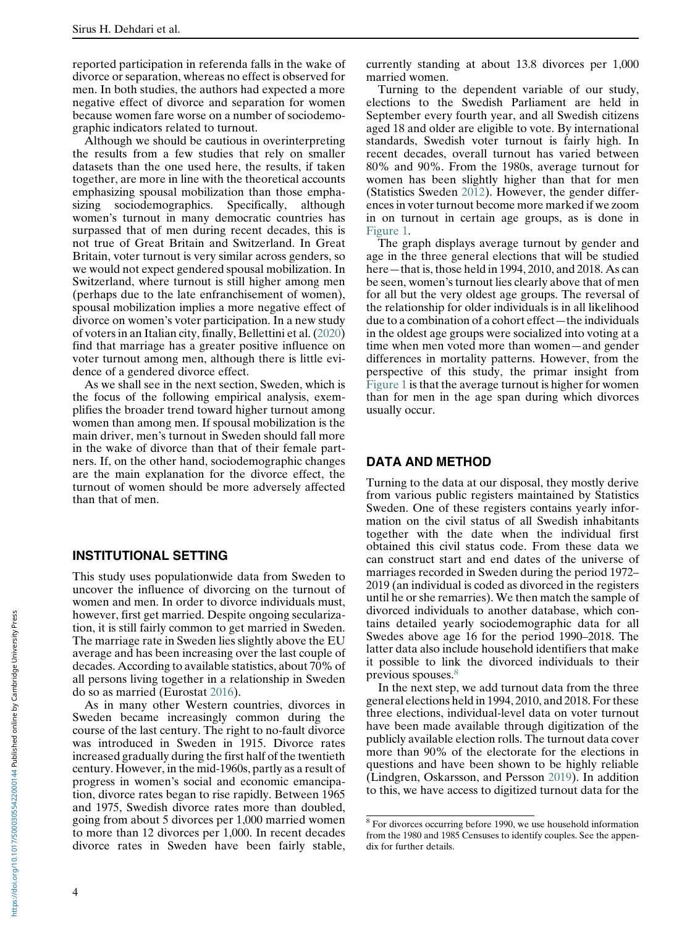reported participation in referenda falls in the wake of divorce or separation, whereas no effect is observed for men. In both studies, the authors had expected a more negative effect of divorce and separation for women because women fare worse on a number of sociodemographic indicators related to turnout.

Although we should be cautious in overinterpreting the results from a few studies that rely on smaller datasets than the one used here, the results, if taken together, are more in line with the theoretical accounts emphasizing spousal mobilization than those emphasizing sociodemographics. Specifically, although women's turnout in many democratic countries has surpassed that of men during recent decades, this is not true of Great Britain and Switzerland. In Great Britain, voter turnout is very similar across genders, so we would not expect gendered spousal mobilization. In Switzerland, where turnout is still higher among men (perhaps due to the late enfranchisement of women), spousal mobilization implies a more negative effect of divorce on women's voter participation. In a new study of voters in an Italian city, finally, Bellettini et al. [\(2020](#page-14-6)) find that marriage has a greater positive influence on voter turnout among men, although there is little evidence of a gendered divorce effect.

As we shall see in the next section, Sweden, which is the focus of the following empirical analysis, exemplifies the broader trend toward higher turnout among women than among men. If spousal mobilization is the main driver, men's turnout in Sweden should fall more in the wake of divorce than that of their female partners. If, on the other hand, sociodemographic changes are the main explanation for the divorce effect, the turnout of women should be more adversely affected than that of men.

#### INSTITUTIONAL SETTING

This study uses populationwide data from Sweden to uncover the influence of divorcing on the turnout of women and men. In order to divorce individuals must, however, first get married. Despite ongoing secularization, it is still fairly common to get married in Sweden. The marriage rate in Sweden lies slightly above the EU average and has been increasing over the last couple of decades. According to available statistics, about 70% of all persons living together in a relationship in Sweden do so as married (Eurostat [2016\)](#page-14-20).

<span id="page-3-0"></span>As in many other Western countries, divorces in Sweden became increasingly common during the course of the last century. The right to no-fault divorce was introduced in Sweden in 1915. Divorce rates increased gradually during the first half of the twentieth century. However, in the mid-1960s, partly as a result of progress in women's social and economic emancipation, divorce rates began to rise rapidly. Between 1965 and 1975, Swedish divorce rates more than doubled, going from about 5 divorces per 1,000 married women to more than 12 divorces per 1,000. In recent decades divorce rates in Sweden have been fairly stable,

currently standing at about 13.8 divorces per 1,000 married women.

Turning to the dependent variable of our study, elections to the Swedish Parliament are held in September every fourth year, and all Swedish citizens aged 18 and older are eligible to vote. By international standards, Swedish voter turnout is fairly high. In recent decades, overall turnout has varied between 80% and 90%. From the 1980s, average turnout for women has been slightly higher than that for men (Statistics Sweden [2012\)](#page-15-19). However, the gender differences in voter turnout become more marked if we zoom in on turnout in certain age groups, as is done in [Figure 1.](#page-4-0)

The graph displays average turnout by gender and age in the three general elections that will be studied here—that is, those held in 1994, 2010, and 2018. As can be seen, women's turnout lies clearly above that of men for all but the very oldest age groups. The reversal of the relationship for older individuals is in all likelihood due to a combination of a cohort effect—the individuals in the oldest age groups were socialized into voting at a time when men voted more than women—and gender differences in mortality patterns. However, from the perspective of this study, the primar insight from [Figure 1](#page-4-0) is that the average turnout is higher for women than for men in the age span during which divorces usually occur.

#### DATA AND METHOD

Turning to the data at our disposal, they mostly derive from various public registers maintained by Statistics Sweden. One of these registers contains yearly information on the civil status of all Swedish inhabitants together with the date when the individual first obtained this civil status code. From these data we can construct start and end dates of the universe of marriages recorded in Sweden during the period 1972– 2019 (an individual is coded as divorced in the registers until he or she remarries). We then match the sample of divorced individuals to another database, which contains detailed yearly sociodemographic data for all Swedes above age 16 for the period 1990–2018. The latter data also include household identifiers that make it possible to link the divorced individuals to their previous spouses.<sup>[8](#page-3-0)</sup>

In the next step, we add turnout data from the three general elections held in 1994, 2010, and 2018. For these three elections, individual-level data on voter turnout have been made available through digitization of the publicly available election rolls. The turnout data cover more than 90% of the electorate for the elections in questions and have been shown to be highly reliable (Lindgren, Oskarsson, and Persson [2019\)](#page-15-20). In addition to this, we have access to digitized turnout data for the

<sup>8</sup> For divorces occurring before 1990, we use household information from the 1980 and 1985 Censuses to identify couples. See the appendix for further details.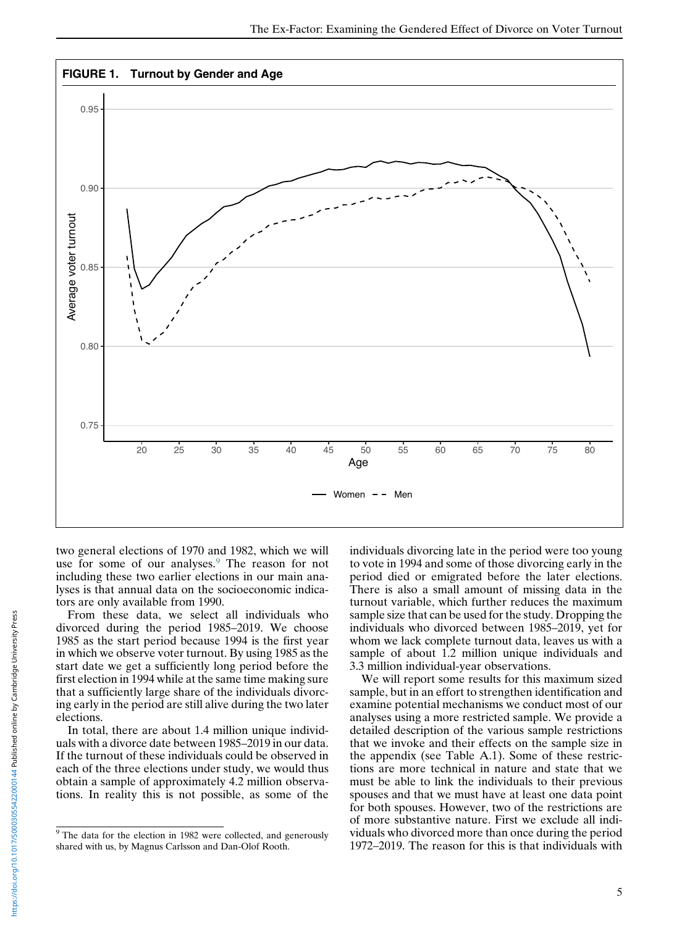<span id="page-4-0"></span>

two general elections of 1970 and 1982, which we will use for some of our analyses.<sup>[9](#page-4-1)</sup> The reason for not including these two earlier elections in our main analyses is that annual data on the socioeconomic indicators are only available from 1990.

From these data, we select all individuals who divorced during the period 1985–2019. We choose 1985 as the start period because 1994 is the first year in which we observe voter turnout. By using 1985 as the start date we get a sufficiently long period before the first election in 1994 while at the same time making sure that a sufficiently large share of the individuals divorcing early in the period are still alive during the two later elections.

In total, there are about 1.4 million unique individuals with a divorce date between 1985–2019 in our data. If the turnout of these individuals could be observed in each of the three elections under study, we would thus obtain a sample of approximately 4.2 million observations. In reality this is not possible, as some of the

individuals divorcing late in the period were too young to vote in 1994 and some of those divorcing early in the period died or emigrated before the later elections. There is also a small amount of missing data in the turnout variable, which further reduces the maximum sample size that can be used for the study. Dropping the individuals who divorced between 1985–2019, yet for whom we lack complete turnout data, leaves us with a sample of about 1.2 million unique individuals and 3.3 million individual-year observations.

We will report some results for this maximum sized sample, but in an effort to strengthen identification and examine potential mechanisms we conduct most of our analyses using a more restricted sample. We provide a detailed description of the various sample restrictions that we invoke and their effects on the sample size in the appendix (see Table A.1). Some of these restrictions are more technical in nature and state that we must be able to link the individuals to their previous spouses and that we must have at least one data point for both spouses. However, two of the restrictions are of more substantive nature. First we exclude all individuals who divorced more than once during the period 1972–2019. The reason for this is that individuals with

<span id="page-4-1"></span> $9$  The data for the election in 1982 were collected, and generously shared with us, by Magnus Carlsson and Dan-Olof Rooth.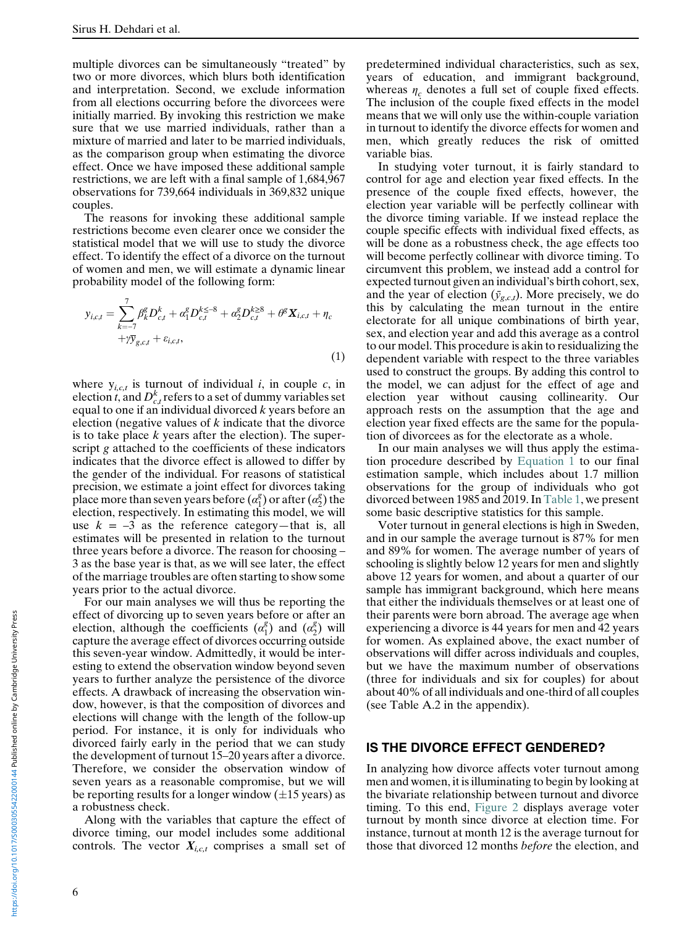multiple divorces can be simultaneously "treated" by two or more divorces, which blurs both identification and interpretation. Second, we exclude information from all elections occurring before the divorcees were initially married. By invoking this restriction we make sure that we use married individuals, rather than a mixture of married and later to be married individuals, as the comparison group when estimating the divorce effect. Once we have imposed these additional sample restrictions, we are left with a final sample of 1,684,967 observations for 739,664 individuals in 369,832 unique couples.

The reasons for invoking these additional sample restrictions become even clearer once we consider the statistical model that we will use to study the divorce effect. To identify the effect of a divorce on the turnout of women and men, we will estimate a dynamic linear probability model of the following form:

<span id="page-5-0"></span>
$$
y_{i,c,t} = \sum_{k=-7}^{7} \beta_k^g D_{c,t}^k + \alpha_1^g D_{c,t}^{k \leq -8} + \alpha_2^g D_{c,t}^{k \geq 8} + \theta^g \mathbf{X}_{i,c,t} + \eta_c + \gamma \overline{y}_{g,c,t} + \varepsilon_{i,c,t},
$$
\n(1)

where  $y_{i,c,t}$  is turnout of individual i, in couple c, in election t, and  $D_{c,t}^k$  refers to a set of dummy variables set equal to one if an individual divorced  $k$  years before an election (negative values of  $k$  indicate that the divorce is to take place  $k$  years after the election). The superscript g attached to the coefficients of these indicators indicates that the divorce effect is allowed to differ by the gender of the individual. For reasons of statistical precision, we estimate a joint effect for divorces taking place more than seven years before  $(\alpha_1^g)$  or after  $(\alpha_2^g)$  the election, respectively. In estimating this model, we will use  $k = -3$  as the reference category—that is, all estimates will be presented in relation to the turnout three years before a divorce. The reason for choosing – 3 as the base year is that, as we will see later, the effect of the marriage troubles are often starting to show some years prior to the actual divorce.

For our main analyses we will thus be reporting the effect of divorcing up to seven years before or after an election, although the coefficients  $(\alpha_1^g)$  and  $(\alpha_2^g)$  will capture the average effect of divorces occurring outside this seven-year window. Admittedly, it would be interesting to extend the observation window beyond seven years to further analyze the persistence of the divorce effects. A drawback of increasing the observation window, however, is that the composition of divorces and elections will change with the length of the follow-up period. For instance, it is only for individuals who divorced fairly early in the period that we can study the development of turnout 15–20 years after a divorce. Therefore, we consider the observation window of seven years as a reasonable compromise, but we will be reporting results for a longer window  $(\pm 15 \text{ years})$  as a robustness check.

Along with the variables that capture the effect of divorce timing, our model includes some additional controls. The vector  $X_{i,c,t}$  comprises a small set of predetermined individual characteristics, such as sex, years of education, and immigrant background, whereas  $\eta_c$  denotes a full set of couple fixed effects. The inclusion of the couple fixed effects in the model means that we will only use the within-couple variation in turnout to identify the divorce effects for women and men, which greatly reduces the risk of omitted variable bias.

In studying voter turnout, it is fairly standard to control for age and election year fixed effects. In the presence of the couple fixed effects, however, the election year variable will be perfectly collinear with the divorce timing variable. If we instead replace the couple specific effects with individual fixed effects, as will be done as a robustness check, the age effects too will become perfectly collinear with divorce timing. To circumvent this problem, we instead add a control for expected turnout given an individual's birth cohort, sex, and the year of election  $(\bar{y}_{g,c,t})$ . More precisely, we do this by calculating the mean turnout in the entire electorate for all unique combinations of birth year, sex, and election year and add this average as a control to our model. This procedure is akin to residualizing the dependent variable with respect to the three variables used to construct the groups. By adding this control to the model, we can adjust for the effect of age and election year without causing collinearity. Our approach rests on the assumption that the age and election year fixed effects are the same for the population of divorcees as for the electorate as a whole.

In our main analyses we will thus apply the estimation procedure described by [Equation 1](#page-5-0) to our final estimation sample, which includes about 1.7 million observations for the group of individuals who got divorced between 1985 and 2019. In [Table 1](#page-6-0), we present some basic descriptive statistics for this sample.

Voter turnout in general elections is high in Sweden, and in our sample the average turnout is 87% for men and 89% for women. The average number of years of schooling is slightly below 12 years for men and slightly above 12 years for women, and about a quarter of our sample has immigrant background, which here means that either the individuals themselves or at least one of their parents were born abroad. The average age when experiencing a divorce is 44 years for men and 42 years for women. As explained above, the exact number of observations will differ across individuals and couples, but we have the maximum number of observations (three for individuals and six for couples) for about about 40% of all individuals and one-third of all couples (see Table A.2 in the appendix).

#### IS THE DIVORCE EFFECT GENDERED?

In analyzing how divorce affects voter turnout among men and women, it is illuminating to begin by looking at the bivariate relationship between turnout and divorce timing. To this end, [Figure 2](#page-6-1) displays average voter turnout by month since divorce at election time. For instance, turnout at month 12 is the average turnout for those that divorced 12 months before the election, and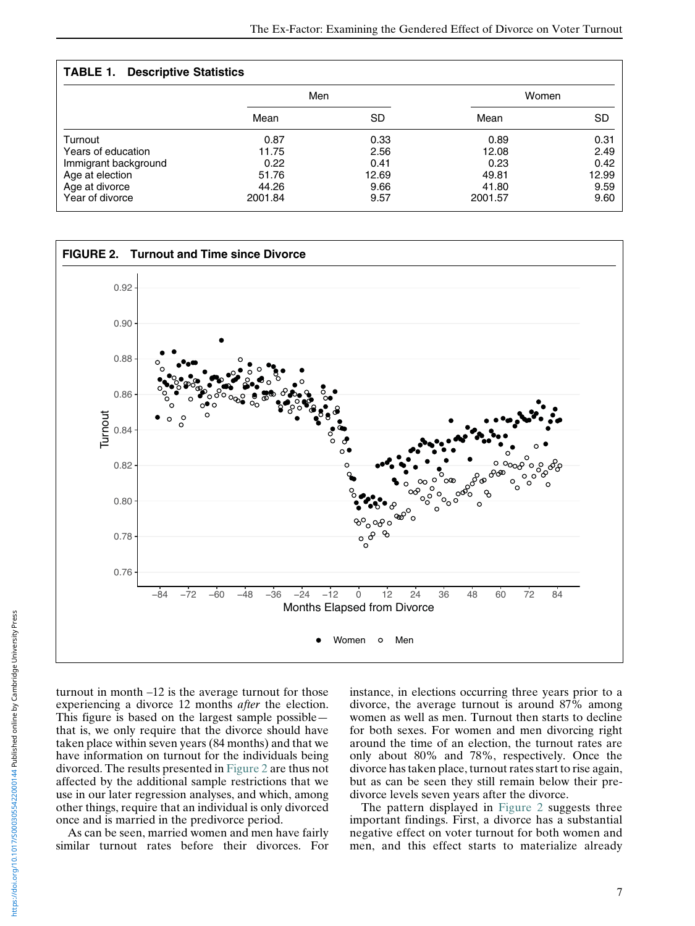## TABLE 1. Descriptive Statistics

<span id="page-6-0"></span>

|                      | Men     |       | Women   |       |
|----------------------|---------|-------|---------|-------|
|                      | Mean    | SD    | Mean    | SD    |
| Turnout              | 0.87    | 0.33  | 0.89    | 0.31  |
| Years of education   | 11.75   | 2.56  | 12.08   | 2.49  |
| Immigrant background | 0.22    | 0.41  | 0.23    | 0.42  |
| Age at election      | 51.76   | 12.69 | 49.81   | 12.99 |
| Age at divorce       | 44.26   | 9.66  | 41.80   | 9.59  |
| Year of divorce      | 2001.84 | 9.57  | 2001.57 | 9.60  |

<span id="page-6-1"></span>

turnout in month –12 is the average turnout for those experiencing a divorce 12 months *after* the election. This figure is based on the largest sample possible that is, we only require that the divorce should have taken place within seven years (84 months) and that we have information on turnout for the individuals being divorced. The results presented in [Figure 2](#page-6-1) are thus not affected by the additional sample restrictions that we use in our later regression analyses, and which, among other things, require that an individual is only divorced once and is married in the predivorce period.

As can be seen, married women and men have fairly similar turnout rates before their divorces. For

instance, in elections occurring three years prior to a divorce, the average turnout is around 87% among women as well as men. Turnout then starts to decline for both sexes. For women and men divorcing right around the time of an election, the turnout rates are only about 80% and 78%, respectively. Once the divorce has taken place, turnout rates start to rise again, but as can be seen they still remain below their predivorce levels seven years after the divorce.

The pattern displayed in [Figure 2](#page-6-1) suggests three important findings. First, a divorce has a substantial negative effect on voter turnout for both women and men, and this effect starts to materialize already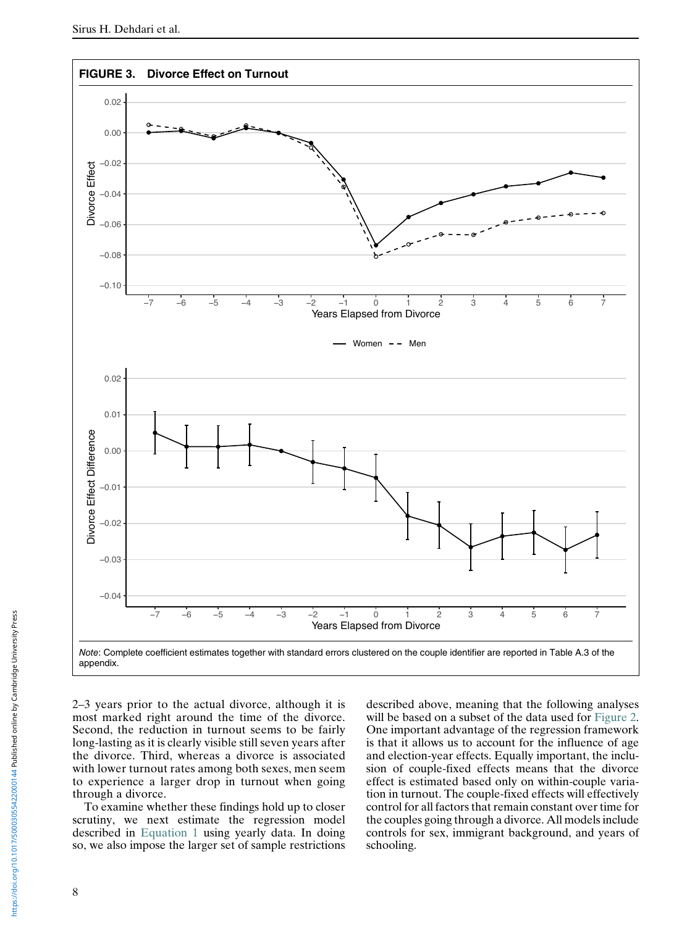<span id="page-7-0"></span>

2–3 years prior to the actual divorce, although it is most marked right around the time of the divorce. Second, the reduction in turnout seems to be fairly long-lasting as it is clearly visible still seven years after the divorce. Third, whereas a divorce is associated with lower turnout rates among both sexes, men seem to experience a larger drop in turnout when going through a divorce.

To examine whether these findings hold up to closer scrutiny, we next estimate the regression model described in [Equation 1](#page-5-0) using yearly data. In doing so, we also impose the larger set of sample restrictions described above, meaning that the following analyses will be based on a subset of the data used for [Figure 2.](#page-6-1) One important advantage of the regression framework is that it allows us to account for the influence of age and election-year effects. Equally important, the inclusion of couple-fixed effects means that the divorce effect is estimated based only on within-couple variation in turnout. The couple-fixed effects will effectively control for all factors that remain constant over time for the couples going through a divorce. All models include controls for sex, immigrant background, and years of schooling.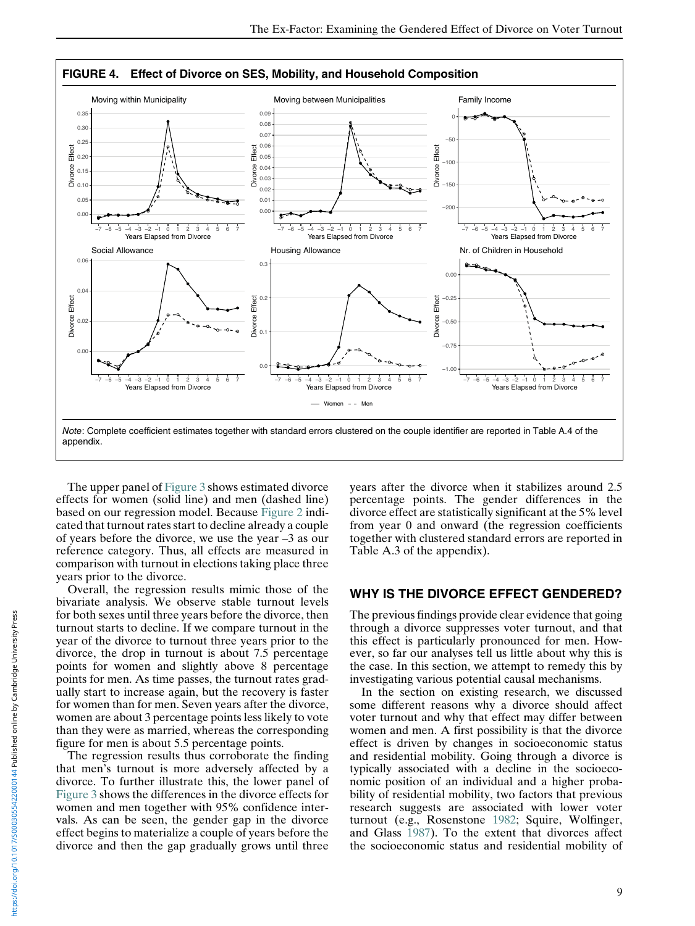<span id="page-8-0"></span>

The upper panel of [Figure 3](#page-7-0) shows estimated divorce effects for women (solid line) and men (dashed line) based on our regression model. Because [Figure 2](#page-6-1) indicated that turnout rates start to decline already a couple of years before the divorce, we use the year –3 as our reference category. Thus, all effects are measured in comparison with turnout in elections taking place three years prior to the divorce.

Overall, the regression results mimic those of the bivariate analysis. We observe stable turnout levels for both sexes until three years before the divorce, then turnout starts to decline. If we compare turnout in the year of the divorce to turnout three years prior to the divorce, the drop in turnout is about 7.5 percentage points for women and slightly above 8 percentage points for men. As time passes, the turnout rates gradually start to increase again, but the recovery is faster for women than for men. Seven years after the divorce, women are about 3 percentage points less likely to vote than they were as married, whereas the corresponding figure for men is about 5.5 percentage points.

The regression results thus corroborate the finding that men's turnout is more adversely affected by a divorce. To further illustrate this, the lower panel of [Figure 3](#page-7-0) shows the differences in the divorce effects for women and men together with 95% confidence intervals. As can be seen, the gender gap in the divorce effect begins to materialize a couple of years before the divorce and then the gap gradually grows until three

years after the divorce when it stabilizes around 2.5 percentage points. The gender differences in the divorce effect are statistically significant at the 5% level from year 0 and onward (the regression coefficients together with clustered standard errors are reported in Table A.3 of the appendix).

## WHY IS THE DIVORCE EFFECT GENDERED?

The previous findings provide clear evidence that going through a divorce suppresses voter turnout, and that this effect is particularly pronounced for men. However, so far our analyses tell us little about why this is the case. In this section, we attempt to remedy this by investigating various potential causal mechanisms.

In the section on existing research, we discussed some different reasons why a divorce should affect voter turnout and why that effect may differ between women and men. A first possibility is that the divorce effect is driven by changes in socioeconomic status and residential mobility. Going through a divorce is typically associated with a decline in the socioeconomic position of an individual and a higher probability of residential mobility, two factors that previous research suggests are associated with lower voter turnout (e.g., Rosenstone [1982](#page-15-10); Squire, Wolfinger, and Glass [1987\)](#page-15-21). To the extent that divorces affect the socioeconomic status and residential mobility of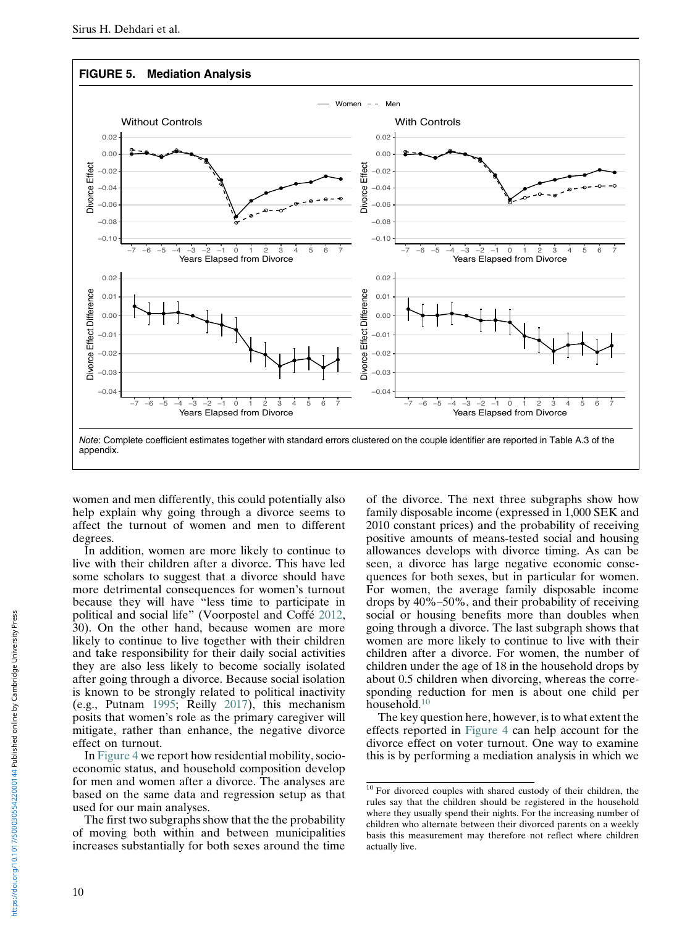<span id="page-9-1"></span>

women and men differently, this could potentially also help explain why going through a divorce seems to affect the turnout of women and men to different degrees.

In addition, women are more likely to continue to live with their children after a divorce. This have led some scholars to suggest that a divorce should have more detrimental consequences for women's turnout because they will have "less time to participate in political and social life" (Voorpostel and Coffé [2012,](#page-15-12) 30). On the other hand, because women are more likely to continue to live together with their children and take responsibility for their daily social activities they are also less likely to become socially isolated after going through a divorce. Because social isolation is known to be strongly related to political inactivity (e.g., Putnam [1995](#page-15-9); Reilly [2017\)](#page-15-6), this mechanism posits that women's role as the primary caregiver will mitigate, rather than enhance, the negative divorce effect on turnout.

In [Figure 4](#page-8-0) we report how residential mobility, socioeconomic status, and household composition develop for men and women after a divorce. The analyses are based on the same data and regression setup as that used for our main analyses.

<span id="page-9-0"></span>The first two subgraphs show that the the probability of moving both within and between municipalities increases substantially for both sexes around the time

of the divorce. The next three subgraphs show how family disposable income (expressed in 1,000 SEK and 2010 constant prices) and the probability of receiving positive amounts of means-tested social and housing allowances develops with divorce timing. As can be seen, a divorce has large negative economic consequences for both sexes, but in particular for women. For women, the average family disposable income drops by 40%–50%, and their probability of receiving social or housing benefits more than doubles when going through a divorce. The last subgraph shows that women are more likely to continue to live with their children after a divorce. For women, the number of children under the age of 18 in the household drops by about 0.5 children when divorcing, whereas the corresponding reduction for men is about one child per household.[10](#page-9-0)

The key question here, however, is to what extent the effects reported in [Figure 4](#page-8-0) can help account for the divorce effect on voter turnout. One way to examine this is by performing a mediation analysis in which we

<sup>&</sup>lt;sup>10</sup> For divorced couples with shared custody of their children, the rules say that the children should be registered in the household where they usually spend their nights. For the increasing number of children who alternate between their divorced parents on a weekly basis this measurement may therefore not reflect where children actually live.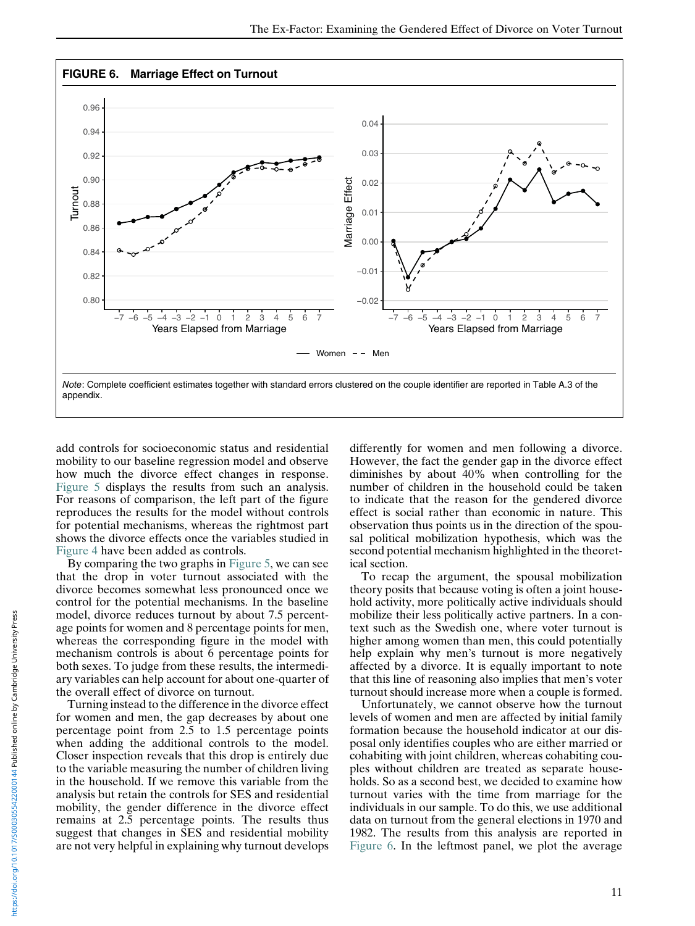<span id="page-10-0"></span>

add controls for socioeconomic status and residential mobility to our baseline regression model and observe how much the divorce effect changes in response. [Figure 5](#page-9-1) displays the results from such an analysis. For reasons of comparison, the left part of the figure reproduces the results for the model without controls for potential mechanisms, whereas the rightmost part shows the divorce effects once the variables studied in [Figure 4](#page-8-0) have been added as controls.

By comparing the two graphs in [Figure 5,](#page-9-1) we can see that the drop in voter turnout associated with the divorce becomes somewhat less pronounced once we control for the potential mechanisms. In the baseline model, divorce reduces turnout by about 7.5 percentage points for women and 8 percentage points for men, whereas the corresponding figure in the model with mechanism controls is about 6 percentage points for both sexes. To judge from these results, the intermediary variables can help account for about one-quarter of the overall effect of divorce on turnout.

Turning instead to the difference in the divorce effect for women and men, the gap decreases by about one percentage point from 2.5 to 1.5 percentage points when adding the additional controls to the model. Closer inspection reveals that this drop is entirely due to the variable measuring the number of children living in the household. If we remove this variable from the analysis but retain the controls for SES and residential mobility, the gender difference in the divorce effect remains at 2.5 percentage points. The results thus suggest that changes in SES and residential mobility are not very helpful in explaining why turnout develops differently for women and men following a divorce. However, the fact the gender gap in the divorce effect diminishes by about 40% when controlling for the number of children in the household could be taken to indicate that the reason for the gendered divorce effect is social rather than economic in nature. This observation thus points us in the direction of the spousal political mobilization hypothesis, which was the second potential mechanism highlighted in the theoretical section.

To recap the argument, the spousal mobilization theory posits that because voting is often a joint household activity, more politically active individuals should mobilize their less politically active partners. In a context such as the Swedish one, where voter turnout is higher among women than men, this could potentially help explain why men's turnout is more negatively affected by a divorce. It is equally important to note that this line of reasoning also implies that men's voter turnout should increase more when a couple is formed.

Unfortunately, we cannot observe how the turnout levels of women and men are affected by initial family formation because the household indicator at our disposal only identifies couples who are either married or cohabiting with joint children, whereas cohabiting couples without children are treated as separate households. So as a second best, we decided to examine how turnout varies with the time from marriage for the individuals in our sample. To do this, we use additional data on turnout from the general elections in 1970 and 1982. The results from this analysis are reported in [Figure 6](#page-10-0). In the leftmost panel, we plot the average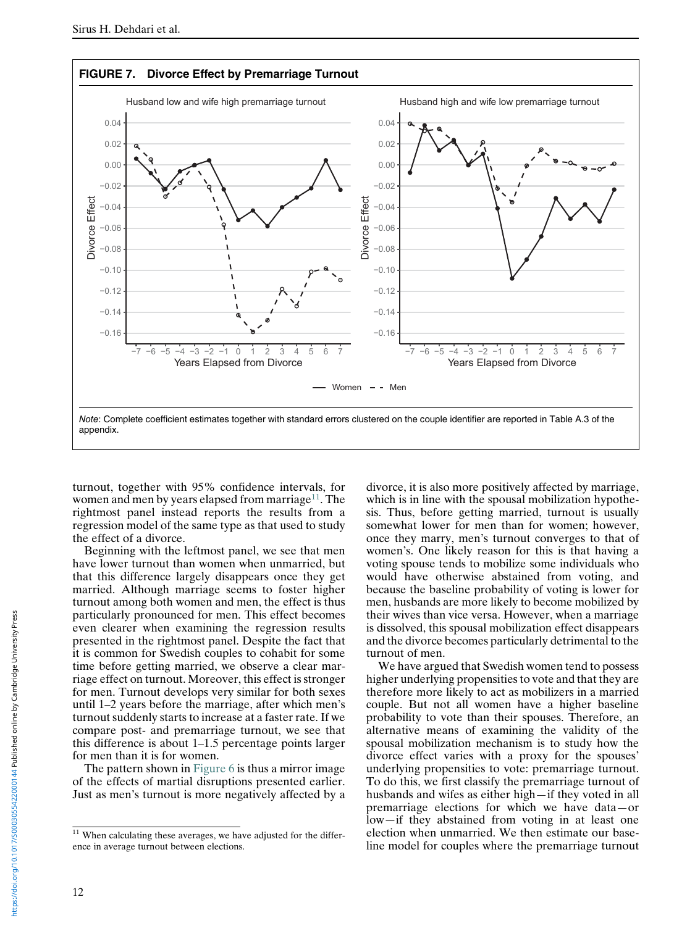<span id="page-11-1"></span>

turnout, together with 95% confidence intervals, for women and men by years elapsed from marriage<sup>11</sup>. The rightmost panel instead reports the results from a regression model of the same type as that used to study the effect of a divorce.

Beginning with the leftmost panel, we see that men have lower turnout than women when unmarried, but that this difference largely disappears once they get married. Although marriage seems to foster higher turnout among both women and men, the effect is thus particularly pronounced for men. This effect becomes even clearer when examining the regression results presented in the rightmost panel. Despite the fact that it is common for Swedish couples to cohabit for some time before getting married, we observe a clear marriage effect on turnout. Moreover, this effect is stronger for men. Turnout develops very similar for both sexes until 1–2 years before the marriage, after which men's turnout suddenly starts to increase at a faster rate. If we compare post- and premarriage turnout, we see that this difference is about 1–1.5 percentage points larger for men than it is for women.

The pattern shown in [Figure 6](#page-10-0) is thus a mirror image of the effects of martial disruptions presented earlier. Just as men's turnout is more negatively affected by a divorce, it is also more positively affected by marriage, which is in line with the spousal mobilization hypothesis. Thus, before getting married, turnout is usually somewhat lower for men than for women; however, once they marry, men's turnout converges to that of women's. One likely reason for this is that having a voting spouse tends to mobilize some individuals who would have otherwise abstained from voting, and because the baseline probability of voting is lower for men, husbands are more likely to become mobilized by their wives than vice versa. However, when a marriage is dissolved, this spousal mobilization effect disappears and the divorce becomes particularly detrimental to the turnout of men.

We have argued that Swedish women tend to possess higher underlying propensities to vote and that they are therefore more likely to act as mobilizers in a married couple. But not all women have a higher baseline probability to vote than their spouses. Therefore, an alternative means of examining the validity of the spousal mobilization mechanism is to study how the divorce effect varies with a proxy for the spouses' underlying propensities to vote: premarriage turnout. To do this, we first classify the premarriage turnout of husbands and wifes as either high—if they voted in all premarriage elections for which we have data—or low—if they abstained from voting in at least one election when unmarried. We then estimate our baseline model for couples where the premarriage turnout

<span id="page-11-0"></span> $11$  When calculating these averages, we have adjusted for the difference in average turnout between elections.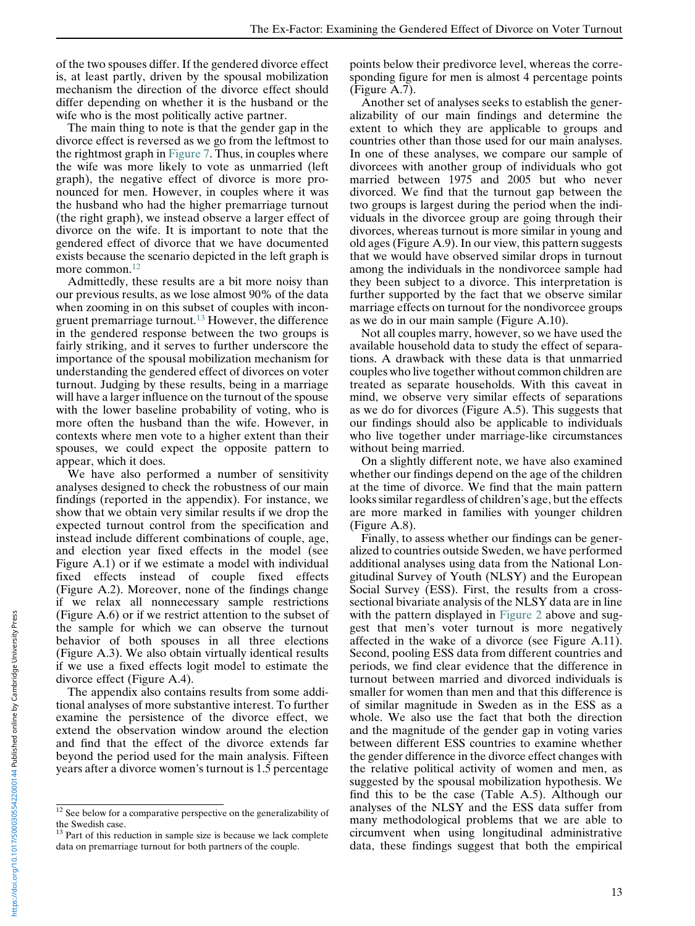of the two spouses differ. If the gendered divorce effect is, at least partly, driven by the spousal mobilization mechanism the direction of the divorce effect should differ depending on whether it is the husband or the wife who is the most politically active partner.

The main thing to note is that the gender gap in the divorce effect is reversed as we go from the leftmost to the rightmost graph in [Figure 7](#page-11-1). Thus, in couples where the wife was more likely to vote as unmarried (left graph), the negative effect of divorce is more pronounced for men. However, in couples where it was the husband who had the higher premarriage turnout (the right graph), we instead observe a larger effect of divorce on the wife. It is important to note that the gendered effect of divorce that we have documented exists because the scenario depicted in the left graph is more common.<sup>[12](#page-12-0)</sup>

Admittedly, these results are a bit more noisy than our previous results, as we lose almost 90% of the data when zooming in on this subset of couples with incon-gruent premarriage turnout.<sup>[13](#page-12-1)</sup> However, the difference in the gendered response between the two groups is fairly striking, and it serves to further underscore the importance of the spousal mobilization mechanism for understanding the gendered effect of divorces on voter turnout. Judging by these results, being in a marriage will have a larger influence on the turnout of the spouse with the lower baseline probability of voting, who is more often the husband than the wife. However, in contexts where men vote to a higher extent than their spouses, we could expect the opposite pattern to appear, which it does.

We have also performed a number of sensitivity analyses designed to check the robustness of our main findings (reported in the appendix). For instance, we show that we obtain very similar results if we drop the expected turnout control from the specification and instead include different combinations of couple, age, and election year fixed effects in the model (see Figure A.1) or if we estimate a model with individual fixed effects instead of couple fixed effects (Figure A.2). Moreover, none of the findings change if we relax all nonnecessary sample restrictions (Figure A.6) or if we restrict attention to the subset of the sample for which we can observe the turnout behavior of both spouses in all three elections (Figure A.3). We also obtain virtually identical results if we use a fixed effects logit model to estimate the divorce effect (Figure A.4).

The appendix also contains results from some additional analyses of more substantive interest. To further examine the persistence of the divorce effect, we extend the observation window around the election and find that the effect of the divorce extends far beyond the period used for the main analysis. Fifteen years after a divorce women's turnout is 1.5 percentage

points below their predivorce level, whereas the corresponding figure for men is almost 4 percentage points (Figure A.7).

Another set of analyses seeks to establish the generalizability of our main findings and determine the extent to which they are applicable to groups and countries other than those used for our main analyses. In one of these analyses, we compare our sample of divorcees with another group of individuals who got married between 1975 and 2005 but who never divorced. We find that the turnout gap between the two groups is largest during the period when the individuals in the divorcee group are going through their divorces, whereas turnout is more similar in young and old ages (Figure A.9). In our view, this pattern suggests that we would have observed similar drops in turnout among the individuals in the nondivorcee sample had they been subject to a divorce. This interpretation is further supported by the fact that we observe similar marriage effects on turnout for the nondivorcee groups as we do in our main sample (Figure A.10).

Not all couples marry, however, so we have used the available household data to study the effect of separations. A drawback with these data is that unmarried couples who live together without common children are treated as separate households. With this caveat in mind, we observe very similar effects of separations as we do for divorces (Figure A.5). This suggests that our findings should also be applicable to individuals who live together under marriage-like circumstances without being married.

On a slightly different note, we have also examined whether our findings depend on the age of the children at the time of divorce. We find that the main pattern looks similar regardless of children's age, but the effects are more marked in families with younger children (Figure A.8).

Finally, to assess whether our findings can be generalized to countries outside Sweden, we have performed additional analyses using data from the National Longitudinal Survey of Youth (NLSY) and the European Social Survey (ESS). First, the results from a crosssectional bivariate analysis of the NLSY data are in line with the pattern displayed in [Figure 2](#page-6-1) above and suggest that men's voter turnout is more negatively affected in the wake of a divorce (see Figure A.11). Second, pooling ESS data from different countries and periods, we find clear evidence that the difference in turnout between married and divorced individuals is smaller for women than men and that this difference is of similar magnitude in Sweden as in the ESS as a whole. We also use the fact that both the direction and the magnitude of the gender gap in voting varies between different ESS countries to examine whether the gender difference in the divorce effect changes with the relative political activity of women and men, as suggested by the spousal mobilization hypothesis. We find this to be the case (Table A.5). Although our analyses of the NLSY and the ESS data suffer from many methodological problems that we are able to circumvent when using longitudinal administrative data, these findings suggest that both the empirical

<span id="page-12-0"></span><sup>&</sup>lt;sup>12</sup> See below for a comparative perspective on the generalizability of the Swedish case.

<span id="page-12-1"></span> $13$  Part of this reduction in sample size is because we lack complete data on premarriage turnout for both partners of the couple.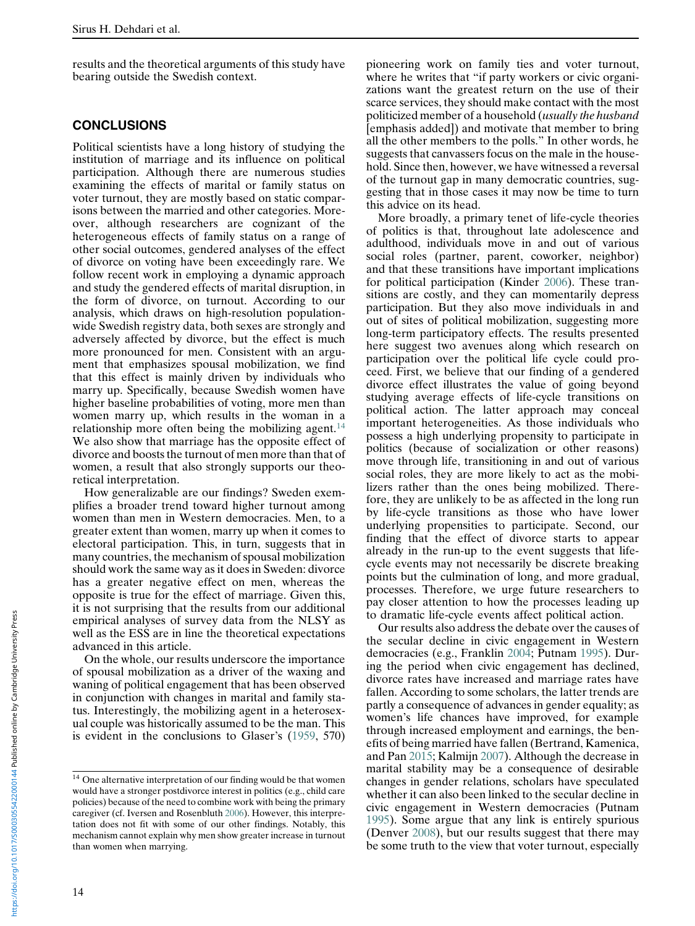results and the theoretical arguments of this study have bearing outside the Swedish context.

#### CONCLUSIONS

Political scientists have a long history of studying the institution of marriage and its influence on political participation. Although there are numerous studies examining the effects of marital or family status on voter turnout, they are mostly based on static comparisons between the married and other categories. Moreover, although researchers are cognizant of the heterogeneous effects of family status on a range of other social outcomes, gendered analyses of the effect of divorce on voting have been exceedingly rare. We follow recent work in employing a dynamic approach and study the gendered effects of marital disruption, in the form of divorce, on turnout. According to our analysis, which draws on high-resolution populationwide Swedish registry data, both sexes are strongly and adversely affected by divorce, but the effect is much more pronounced for men. Consistent with an argument that emphasizes spousal mobilization, we find that this effect is mainly driven by individuals who marry up. Specifically, because Swedish women have higher baseline probabilities of voting, more men than women marry up, which results in the woman in a relationship more often being the mobilizing agent.<sup>[14](#page-13-0)</sup> We also show that marriage has the opposite effect of divorce and boosts the turnout of men more than that of women, a result that also strongly supports our theoretical interpretation.

How generalizable are our findings? Sweden exemplifies a broader trend toward higher turnout among women than men in Western democracies. Men, to a greater extent than women, marry up when it comes to electoral participation. This, in turn, suggests that in many countries, the mechanism of spousal mobilization should work the same way as it does in Sweden: divorce has a greater negative effect on men, whereas the opposite is true for the effect of marriage. Given this, it is not surprising that the results from our additional empirical analyses of survey data from the NLSY as well as the ESS are in line the theoretical expectations advanced in this article.

On the whole, our results underscore the importance of spousal mobilization as a driver of the waxing and waning of political engagement that has been observed in conjunction with changes in marital and family status. Interestingly, the mobilizing agent in a heterosexual couple was historically assumed to be the man. This is evident in the conclusions to Glaser's ([1959,](#page-14-0) 570)

pioneering work on family ties and voter turnout, where he writes that "if party workers or civic organizations want the greatest return on the use of their scarce services, they should make contact with the most politicized member of a household (usually the husband [emphasis added]) and motivate that member to bring all the other members to the polls." In other words, he suggests that canvassers focus on the male in the household. Since then, however, we have witnessed a reversal of the turnout gap in many democratic countries, suggesting that in those cases it may now be time to turn this advice on its head.

More broadly, a primary tenet of life-cycle theories of politics is that, throughout late adolescence and adulthood, individuals move in and out of various social roles (partner, parent, coworker, neighbor) and that these transitions have important implications for political participation (Kinder [2006\)](#page-15-22). These transitions are costly, and they can momentarily depress participation. But they also move individuals in and out of sites of political mobilization, suggesting more long-term participatory effects. The results presented here suggest two avenues along which research on participation over the political life cycle could proceed. First, we believe that our finding of a gendered divorce effect illustrates the value of going beyond studying average effects of life-cycle transitions on political action. The latter approach may conceal important heterogeneities. As those individuals who possess a high underlying propensity to participate in politics (because of socialization or other reasons) move through life, transitioning in and out of various social roles, they are more likely to act as the mobilizers rather than the ones being mobilized. Therefore, they are unlikely to be as affected in the long run by life-cycle transitions as those who have lower underlying propensities to participate. Second, our finding that the effect of divorce starts to appear already in the run-up to the event suggests that lifecycle events may not necessarily be discrete breaking points but the culmination of long, and more gradual, processes. Therefore, we urge future researchers to pay closer attention to how the processes leading up to dramatic life-cycle events affect political action.

Our results also address the debate over the causes of the secular decline in civic engagement in Western democracies (e.g., Franklin [2004;](#page-14-7) Putnam [1995\)](#page-15-9). During the period when civic engagement has declined, divorce rates have increased and marriage rates have fallen. According to some scholars, the latter trends are partly a consequence of advances in gender equality; as women's life chances have improved, for example through increased employment and earnings, the benefits of being married have fallen (Bertrand, Kamenica, and Pan [2015;](#page-14-21) Kalmijn [2007\)](#page-15-17). Although the decrease in marital stability may be a consequence of desirable changes in gender relations, scholars have speculated whether it can also been linked to the secular decline in civic engagement in Western democracies (Putnam [1995\)](#page-15-9). Some argue that any link is entirely spurious (Denver [2008](#page-14-22)), but our results suggest that there may be some truth to the view that voter turnout, especially

<span id="page-13-0"></span><sup>&</sup>lt;sup>14</sup> One alternative interpretation of our finding would be that women would have a stronger postdivorce interest in politics (e.g., child care policies) because of the need to combine work with being the primary caregiver (cf. Iversen and Rosenbluth [2006](#page-15-18)). However, this interpretation does not fit with some of our other findings. Notably, this mechanism cannot explain why men show greater increase in turnout than women when marrying.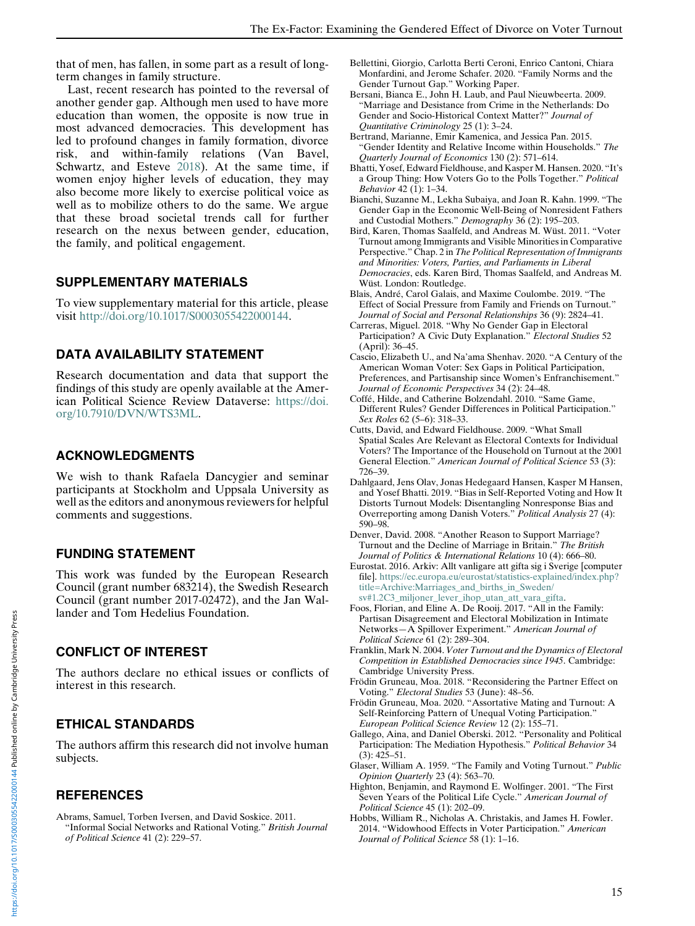<span id="page-14-6"></span>that of men, has fallen, in some part as a result of longterm changes in family structure.

<span id="page-14-21"></span><span id="page-14-11"></span><span id="page-14-2"></span>Last, recent research has pointed to the reversal of another gender gap. Although men used to have more education than women, the opposite is now true in most advanced democracies. This development has led to profound changes in family formation, divorce risk, and within-family relations (Van Bavel, Schwartz, and Esteve [2018](#page-15-11)). At the same time, if women enjoy higher levels of education, they may also become more likely to exercise political voice as well as to mobilize others to do the same. We argue that these broad societal trends call for further research on the nexus between gender, education, the family, and political engagement.

#### <span id="page-14-16"></span><span id="page-14-12"></span><span id="page-14-3"></span>SUPPLEMENTARY MATERIALS

<span id="page-14-8"></span>To view supplementary material for this article, please visit [http://doi.org/10.1017/S0003055422000144.](http://doi.org/10.1017/S0003055422000144)

#### <span id="page-14-9"></span>DATA AVAILABILITY STATEMENT

<span id="page-14-10"></span>Research documentation and data that support the findings of this study are openly available at the American Political Science Review Dataverse: [https://doi.](https://doi.org/10.7910/DVN/WTS3ML) [org/10.7910/DVN/WTS3ML](https://doi.org/10.7910/DVN/WTS3ML).

## <span id="page-14-1"></span>ACKNOWLEDGMENTS

<span id="page-14-14"></span>We wish to thank Rafaela Dancygier and seminar participants at Stockholm and Uppsala University as well as the editors and anonymous reviewers for helpful comments and suggestions.

#### <span id="page-14-22"></span>FUNDING STATEMENT

<span id="page-14-20"></span><span id="page-14-19"></span>This work was funded by the European Research Council (grant number 683214), the Swedish Research Council (grant number 2017-02472), and the Jan Wallander and Tom Hedelius Foundation.

# <span id="page-14-7"></span>CONFLICT OF INTEREST

<span id="page-14-4"></span>The authors declare no ethical issues or conflicts of interest in this research.

# <span id="page-14-18"></span><span id="page-14-13"></span>ETHICAL STANDARDS

<span id="page-14-0"></span>The authors affirm this research did not involve human subjects.

# <span id="page-14-5"></span>**REFERENCES**

<span id="page-14-17"></span><span id="page-14-15"></span>Abrams, Samuel, Torben Iversen, and David Soskice. 2011. "Informal Social Networks and Rational Voting." British Journal of Political Science 41 (2): 229–57.

- Bellettini, Giorgio, Carlotta Berti Ceroni, Enrico Cantoni, Chiara Monfardini, and Jerome Schafer. 2020. "Family Norms and the Gender Turnout Gap." Working Paper.
- Bersani, Bianca E., John H. Laub, and Paul Nieuwbeerta. 2009. "Marriage and Desistance from Crime in the Netherlands: Do Gender and Socio-Historical Context Matter?" Journal of Quantitative Criminology 25 (1): 3–24.
- Bertrand, Marianne, Emir Kamenica, and Jessica Pan. 2015. "Gender Identity and Relative Income within Households." The Quarterly Journal of Economics 130 (2): 571–614.
- Bhatti, Yosef, Edward Fieldhouse, and Kasper M. Hansen. 2020. "It's a Group Thing: How Voters Go to the Polls Together." Political Behavior 42 (1): 1-34.
- Bianchi, Suzanne M., Lekha Subaiya, and Joan R. Kahn. 1999. "The Gender Gap in the Economic Well-Being of Nonresident Fathers and Custodial Mothers." Demography 36 (2): 195–203.
- Bird, Karen, Thomas Saalfeld, and Andreas M. Wüst. 2011. "Voter Turnout among Immigrants and Visible Minorities in Comparative Perspective." Chap. 2 in The Political Representation of Immigrants and Minorities: Voters, Parties, and Parliaments in Liberal Democracies, eds. Karen Bird, Thomas Saalfeld, and Andreas M. Wüst. London: Routledge.
- Blais, André, Carol Galais, and Maxime Coulombe. 2019. "The Effect of Social Pressure from Family and Friends on Turnout." Journal of Social and Personal Relationships 36 (9): 2824–41.
- Carreras, Miguel. 2018. "Why No Gender Gap in Electoral Participation? A Civic Duty Explanation." Electoral Studies 52 (April): 36–45.
- Cascio, Elizabeth U., and Na'ama Shenhav. 2020. "A Century of the American Woman Voter: Sex Gaps in Political Participation, Preferences, and Partisanship since Women's Enfranchisement." Journal of Economic Perspectives 34 (2): 24–48.
- Coffé, Hilde, and Catherine Bolzendahl. 2010. "Same Game, Different Rules? Gender Differences in Political Participation." Sex Roles 62 (5–6): 318–33.
- Cutts, David, and Edward Fieldhouse. 2009. "What Small Spatial Scales Are Relevant as Electoral Contexts for Individual Voters? The Importance of the Household on Turnout at the 2001 General Election." American Journal of Political Science 53 (3): 726–39.
- Dahlgaard, Jens Olav, Jonas Hedegaard Hansen, Kasper M Hansen, and Yosef Bhatti. 2019. "Bias in Self-Reported Voting and How It Distorts Turnout Models: Disentangling Nonresponse Bias and Overreporting among Danish Voters." Political Analysis 27 (4): 590–98.
- Denver, David. 2008. "Another Reason to Support Marriage? Turnout and the Decline of Marriage in Britain." The British Journal of Politics & International Relations 10 (4): 666–80.
- Eurostat. 2016. Arkiv: Allt vanligare att gifta sig i Sverige [computer file]. [https://ec.europa.eu/eurostat/statistics-explained/index.php?](https://ec.europa.eu/eurostat/statistics-explained/index.php?title=Archive:Marriages_and_births_in_Sweden/sv#1.2C3_miljoner_lever_ihop_utan_att_vara_gifta) [title=Archive:Marriages\\_and\\_births\\_in\\_Sweden/](https://ec.europa.eu/eurostat/statistics-explained/index.php?title=Archive:Marriages_and_births_in_Sweden/sv#1.2C3_miljoner_lever_ihop_utan_att_vara_gifta) [sv#1.2C3\\_miljoner\\_lever\\_ihop\\_utan\\_att\\_vara\\_gifta.](https://ec.europa.eu/eurostat/statistics-explained/index.php?title=Archive:Marriages_and_births_in_Sweden/sv#1.2C3_miljoner_lever_ihop_utan_att_vara_gifta)
- Foos, Florian, and Eline A. De Rooij. 2017. "All in the Family: Partisan Disagreement and Electoral Mobilization in Intimate Networks-A Spillover Experiment." American Journal of Political Science 61 (2): 289–304.
- Franklin, Mark N. 2004. Voter Turnout and the Dynamics of Electoral Competition in Established Democracies since 1945. Cambridge: Cambridge University Press.
- Frödin Gruneau, Moa. 2018. "Reconsidering the Partner Effect on Voting." Electoral Studies 53 (June): 48–56.
- Frödin Gruneau, Moa. 2020. "Assortative Mating and Turnout: A Self-Reinforcing Pattern of Unequal Voting Participation." European Political Science Review 12 (2): 155–71.
- Gallego, Aina, and Daniel Oberski. 2012. "Personality and Political Participation: The Mediation Hypothesis." Political Behavior 34 (3): 425–51.
- Glaser, William A. 1959. "The Family and Voting Turnout." Public Opinion Quarterly 23 (4): 563–70.
- Highton, Benjamin, and Raymond E. Wolfinger. 2001. "The First Seven Years of the Political Life Cycle." American Journal of Political Science 45 (1): 202–09.
- Hobbs, William R., Nicholas A. Christakis, and James H. Fowler. 2014. "Widowhood Effects in Voter Participation." American Journal of Political Science 58 (1): 1–16.